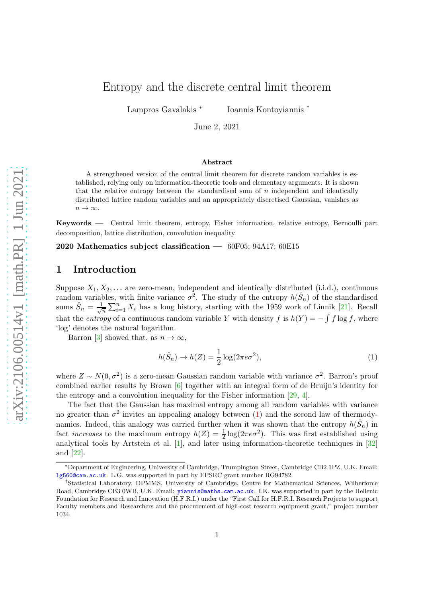# Entropy and the discrete central limit theorem

Lampros Gavalakis <sup>∗</sup> Ioannis Kontoyiannis †

June 2, 2021

#### Abstract

A strengthened version of the central limit theorem for discrete random variables is established, relying only on information-theoretic tools and elementary arguments. It is shown that the relative entropy between the standardised sum of  $n$  independent and identically distributed lattice random variables and an appropriately discretised Gaussian, vanishes as  $n \to \infty$ .

Keywords — Central limit theorem, entropy, Fisher information, relative entropy, Bernoulli part decomposition, lattice distribution, convolution inequality

2020 Mathematics subject classification  $-$  60F05; 94A17; 60E15

### 1 Introduction

Suppose  $X_1, X_2, \ldots$  are zero-mean, independent and identically distributed (i.i.d.), continuous random variables, with finite variance  $\sigma^2$ . The study of the entropy  $h(\hat{S}_n)$  of the standardised sums  $\hat{S}_n = \frac{1}{\sqrt{3}}$  $\frac{1}{n}\sum_{i=1}^{n} X_i$  has a long history, starting with the 1959 work of Linnik [\[21\]](#page-13-0). Recall that the *entropy* of a continuous random variable Y with density f is  $h(Y) = -\int f \log f$ , where 'log' denotes the natural logarithm.

Barron [\[3\]](#page-12-0) showed that, as  $n \to \infty$ ,

<span id="page-0-0"></span>
$$
h(\hat{S}_n) \to h(Z) = \frac{1}{2} \log(2\pi e \sigma^2),\tag{1}
$$

where  $Z \sim N(0, \sigma^2)$  is a zero-mean Gaussian random variable with variance  $\sigma^2$ . Barron's proof combined earlier results by Brown [\[6\]](#page-13-1) together with an integral form of de Bruijn's identity for the entropy and a convolution inequality for the Fisher information [\[29,](#page-14-0) [4\]](#page-12-1).

The fact that the Gaussian has maximal entropy among all random variables with variance no greater than  $\sigma^2$  invites an appealing analogy between [\(1\)](#page-0-0) and the second law of thermodynamics. Indeed, this analogy was carried further when it was shown that the entropy  $h(\hat{S}_n)$  in fact *increases* to the maximum entropy  $h(Z) = \frac{1}{2} \log(2\pi e \sigma^2)$ . This was first established using analytical tools by Artstein et al.  $[1]$ , and later using information-theoretic techniques in  $[32]$ and [\[22\]](#page-13-2).

<sup>∗</sup>Department of Engineering, University of Cambridge, Trumpington Street, Cambridge CB2 1PZ, U.K. Email: [lg560@cam.ac.uk](mailto:lg560@cam.ac.uk). L.G. was supported in part by EPSRC grant number RG94782.

<sup>†</sup>Statistical Laboratory, DPMMS, University of Cambridge, Centre for Mathematical Sciences, Wilberforce Road, Cambridge CB3 0WB, U.K. Email: [yiannis@maths.cam.ac.uk](mailto:yiannis@maths.cam.ac.uk). I.K. was supported in part by the Hellenic Foundation for Research and Innovation (H.F.R.I.) under the "First Call for H.F.R.I. Research Projects to support Faculty members and Researchers and the procurement of high-cost research equipment grant," project number 1034.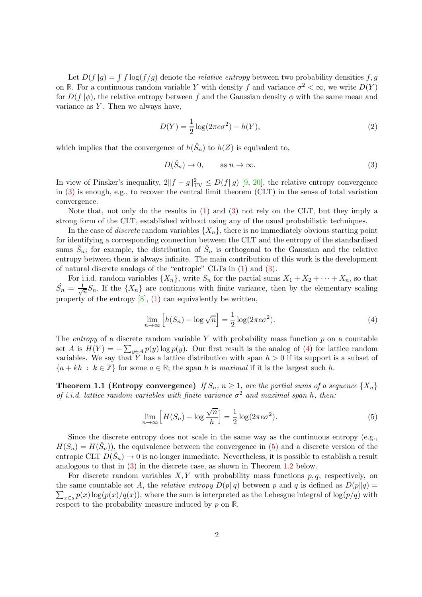Let  $D(f||g) = \int f \log(f/g)$  denote the *relative entropy* between two probability densities f, g on **R**. For a continuous random variable Y with density f and variance  $\sigma^2 < \infty$ , we write  $D(Y)$ for  $D(f\|\phi)$ , the relative entropy between f and the Gaussian density  $\phi$  with the same mean and variance as  $Y$ . Then we always have,

<span id="page-1-4"></span>
$$
D(Y) = \frac{1}{2}\log(2\pi e\sigma^2) - h(Y),
$$
\n(2)

which implies that the convergence of  $h(\hat{S}_n)$  to  $h(Z)$  is equivalent to,

<span id="page-1-0"></span>
$$
D(\hat{S}_n) \to 0, \qquad \text{as } n \to \infty. \tag{3}
$$

In view of Pinsker's inequality,  $2||f - g||<sup>2</sup><sub>TV</sub> \le D(f||g)$  [\[9,](#page-13-3) [20\]](#page-13-4), the relative entropy convergence in [\(3\)](#page-1-0) is enough, e.g., to recover the central limit theorem (CLT) in the sense of total variation convergence.

Note that, not only do the results in [\(1\)](#page-0-0) and [\(3\)](#page-1-0) not rely on the CLT, but they imply a strong form of the CLT, established without using any of the usual probabilistic techniques.

In the case of *discrete* random variables  $\{X_n\}$ , there is no immediately obvious starting point for identifying a corresponding connection between the CLT and the entropy of the standardised sums  $\hat{S}_n$ ; for example, the distribution of  $\hat{S}_n$  is orthogonal to the Gaussian and the relative entropy between them is always infinite. The main contribution of this work is the development of natural discrete analogs of the "entropic" CLTs in [\(1\)](#page-0-0) and [\(3\)](#page-1-0).

For i.i.d. random variables  $\{X_n\}$ , write  $S_n$  for the partial sums  $X_1 + X_2 + \cdots + X_n$ , so that  $\hat{S}_n = \frac{1}{\sqrt{2}}$  $\frac{1}{n}S_n$ . If the  $\{X_n\}$  are continuous with finite variance, then by the elementary scaling property of the entropy  $[8]$ ,  $(1)$  can equivalently be written,

<span id="page-1-1"></span>
$$
\lim_{n \to \infty} \left[ h(S_n) - \log \sqrt{n} \right] = \frac{1}{2} \log(2\pi e \sigma^2). \tag{4}
$$

The *entropy* of a discrete random variable Y with probability mass function  $p$  on a countable set A is  $H(Y) = -\sum_{y \in A} p(y) \log p(y)$ . Our first result is the analog of [\(4\)](#page-1-1) for lattice random variables. We say that Y has a lattice distribution with span  $h > 0$  if its support is a subset of  ${a + kh : k \in \mathbb{Z}}$  for some  $a \in \mathbb{R}$ ; the span h is *maximal* if it is the largest such h.

<span id="page-1-3"></span>**Theorem 1.1 (Entropy convergence)** *If*  $S_n$ ,  $n \geq 1$ , are the partial sums of a sequence  $\{X_n\}$ *of i.i.d. lattice random variables with finite variance*  $\sigma^2$  *and maximal span h, then:* 

<span id="page-1-2"></span>
$$
\lim_{n \to \infty} \left[ H(S_n) - \log \frac{\sqrt{n}}{h} \right] = \frac{1}{2} \log(2\pi e \sigma^2). \tag{5}
$$

Since the discrete entropy does not scale in the same way as the continuous entropy (e.g.,  $H(S_n) = H(\hat{S}_n)$ , the equivalence between the convergence in [\(5\)](#page-1-2) and a discrete version of the entropic CLT  $D(\hat{S}_n) \to 0$  is no longer immediate. Nevertheless, it is possible to establish a result analogous to that in [\(3\)](#page-1-0) in the discrete case, as shown in Theorem [1.2](#page-2-0) below.

For discrete random variables  $X, Y$  with probability mass functions  $p, q$ , respectively, on  $\sum_{x \in S} p(x) \log(p(x)/q(x))$ , where the sum is interpreted as the Lebesgue integral of  $\log(p/q)$  with the same countable set A, the *relative entropy*  $D(p||q)$  between p and q is defined as  $D(p||q)$  = respect to the probability measure induced by p on **R**.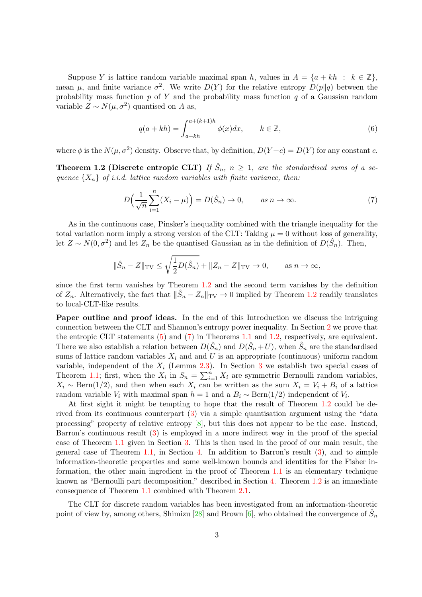Suppose Y is lattice random variable maximal span h, values in  $A = \{a + kh : k \in \mathbb{Z}\}\,$ , mean  $\mu$ , and finite variance  $\sigma^2$ . We write  $D(Y)$  for the relative entropy  $D(p||q)$  between the probability mass function  $p$  of Y and the probability mass function  $q$  of a Gaussian random variable  $Z \sim N(\mu, \sigma^2)$  quantised on A as,

<span id="page-2-2"></span>
$$
q(a + kh) = \int_{a+kh}^{a+(k+1)h} \phi(x) dx, \qquad k \in \mathbb{Z},
$$
\n(6)

<span id="page-2-0"></span>where  $\phi$  is the  $N(\mu, \sigma^2)$  density. Observe that, by definition,  $D(Y+c) = D(Y)$  for any constant c.

**Theorem 1.2 (Discrete entropic CLT)** If  $\hat{S}_n$ ,  $n \geq 1$ , are the standardised sums of a se*quence*  $\{X_n\}$  *of i.i.d. lattice random variables with finite variance, then:* 

<span id="page-2-1"></span>
$$
D\Big(\frac{1}{\sqrt{n}}\sum_{i=1}^{n}(X_i-\mu)\Big)=D(\hat{S}_n)\to 0, \qquad as\ n\to\infty.
$$
 (7)

As in the continuous case, Pinsker's inequality combined with the triangle inequality for the total variation norm imply a strong version of the CLT: Taking  $\mu = 0$  without loss of generality, let  $Z \sim N(0, \sigma^2)$  and let  $Z_n$  be the quantised Gaussian as in the definition of  $D(\hat{S}_n)$ . Then,

$$
\|\hat{S}_n - Z\|_{\text{TV}} \le \sqrt{\frac{1}{2}D(\hat{S}_n)} + \|Z_n - Z\|_{\text{TV}} \to 0, \quad \text{as } n \to \infty,
$$

since the first term vanishes by Theorem [1.2](#page-2-0) and the second term vanishes by the definition of  $Z_n$ . Alternatively, the fact that  $\|\hat{S}_n - Z_n\|_{TV} \to 0$  implied by Theorem [1.2](#page-2-0) readily translates to local-CLT-like results.

Paper outline and proof ideas. In the end of this Introduction we discuss the intriguing connection between the CLT and Shannon's entropy power inequality. In Section [2](#page-4-0) we prove that the entropic CLT statements  $(5)$  and  $(7)$  in Theorems [1.1](#page-1-3) and [1.2,](#page-2-0) respectively, are equivalent. There we also establish a relation between  $D(\hat{S}_n)$  and  $D(\hat{S}_n + U)$ , when  $\hat{S}_n$  are the standardised sums of lattice random variables  $X_i$  and and U is an appropriate (continuous) uniform random variable, independent of the  $X_i$  (Lemma [2.3\)](#page-5-0). In Section [3](#page-6-0) we establish two special cases of Theorem [1.1;](#page-1-3) first, when the  $X_i$  in  $S_n = \sum_{i=1}^n X_i$  are symmetric Bernoulli random variables,  $X_i \sim \text{Bern}(1/2)$ , and then when each  $X_i$  can be written as the sum  $X_i = V_i + B_i$  of a lattice random variable  $V_i$  with maximal span  $h = 1$  and a  $B_i \sim \text{Bern}(1/2)$  independent of  $V_i$ .

At first sight it might be tempting to hope that the result of Theorem [1.2](#page-2-0) could be derived from its continuous counterpart [\(3\)](#page-1-0) via a simple quantisation argument using the "data processing" property of relative entropy [\[8\]](#page-13-5), but this does not appear to be the case. Instead, Barron's continuous result [\(3\)](#page-1-0) is employed in a more indirect way in the proof of the special case of Theorem [1.1](#page-1-3) given in Section [3.](#page-6-0) This is then used in the proof of our main result, the general case of Theorem [1.1,](#page-1-3) in Section [4.](#page-9-0) In addition to Barron's result [\(3\)](#page-1-0), and to simple information-theoretic properties and some well-known bounds and identities for the Fisher information, the other main ingredient in the proof of Theorem [1.1](#page-1-3) is an elementary technique known as "Bernoulli part decomposition," described in Section [4.](#page-9-0) Theorem [1.2](#page-2-0) is an immediate consequence of Theorem [1.1](#page-1-3) combined with Theorem [2.1.](#page-4-1)

The CLT for discrete random variables has been investigated from an information-theoretic point of view by, among others, Shimizu [\[28\]](#page-14-2) and Brown [\[6\]](#page-13-1), who obtained the convergence of  $\hat{S}_n$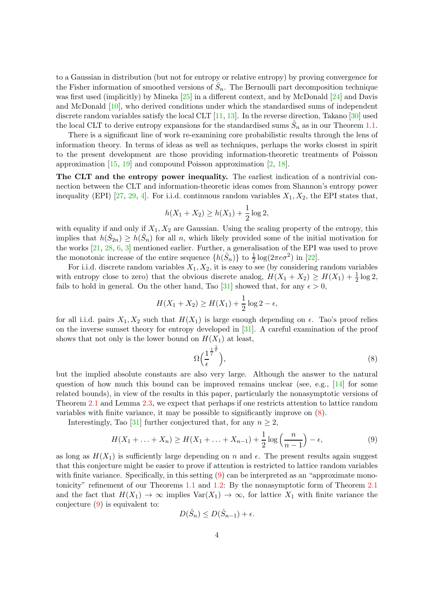to a Gaussian in distribution (but not for entropy or relative entropy) by proving convergence for the Fisher information of smoothed versions of  $\hat{S}_n$ . The Bernoulli part decomposition technique was first used (implicitly) by Mineka [\[25\]](#page-14-3) in a different context, and by McDonald [\[24\]](#page-14-4) and Davis and McDonald [\[10\]](#page-13-6), who derived conditions under which the standardised sums of independent discrete random variables satisfy the local CLT  $[11, 13]$  $[11, 13]$ . In the reverse direction, Takano  $[30]$  used the local CLT to derive entropy expansions for the standardised sums  $\hat{S}_n$  as in our Theorem [1.1.](#page-1-3)

There is a significant line of work re-examining core probabilistic results through the lens of information theory. In terms of ideas as well as techniques, perhaps the works closest in spirit to the present development are those providing information-theoretic treatments of Poisson approximation [\[15,](#page-13-9) [19\]](#page-13-10) and compound Poisson approximation [\[2,](#page-12-3) [18\]](#page-13-11).

The CLT and the entropy power inequality. The earliest indication of a nontrivial connection between the CLT and information-theoretic ideas comes from Shannon's entropy power inequality (EPI) [\[27,](#page-14-6) [29,](#page-14-0) [4\]](#page-12-1). For i.i.d. continuous random variables  $X_1, X_2$ , the EPI states that,

$$
h(X_1 + X_2) \ge h(X_1) + \frac{1}{2}\log 2,
$$

with equality if and only if  $X_1, X_2$  are Gaussian. Using the scaling property of the entropy, this implies that  $h(\hat{S}_{2n}) \geq h(\hat{S}_n)$  for all n, which likely provided some of the initial motivation for the works [\[21,](#page-13-0) [28,](#page-14-2) [6,](#page-13-1) [3\]](#page-12-0) mentioned earlier. Further, a generalisation of the EPI was used to prove the monotonic increase of the entire sequence  $\{h(\hat{S}_n)\}\$  to  $\frac{1}{2}\log(2\pi e \sigma^2)$  in [\[22\]](#page-13-2).

For i.i.d. discrete random variables  $X_1, X_2$ , it is easy to see (by considering random variables with entropy close to zero) that the obvious discrete analog,  $H(X_1 + X_2) \ge H(X_1) + \frac{1}{2} \log 2$ , fails to hold in general. On the other hand, Tao [\[31\]](#page-14-7) showed that, for any  $\epsilon > 0$ ,

$$
H(X_1 + X_2) \ge H(X_1) + \frac{1}{2}\log 2 - \epsilon,
$$

for all i.i.d. pairs  $X_1, X_2$  such that  $H(X_1)$  is large enough depending on  $\epsilon$ . Tao's proof relies on the inverse sumset theory for entropy developed in [\[31\]](#page-14-7). A careful examination of the proof shows that not only is the lower bound on  $H(X_1)$  at least,

<span id="page-3-0"></span>
$$
\Omega\Big(\frac{1}{\epsilon}^{\frac{1}{\epsilon}\frac{1}{\epsilon}}\Big),\tag{8}
$$

but the implied absolute constants are also very large. Although the answer to the natural question of how much this bound can be improved remains unclear (see, e.g.,  $[14]$  for some related bounds), in view of the results in this paper, particularly the nonasymptotic versions of Theorem [2.1](#page-4-1) and Lemma [2.3,](#page-5-0) we expect that perhaps if one restricts attention to lattice random variables with finite variance, it may be possible to significantly improve on [\(8\)](#page-3-0).

Interestingly, Tao [\[31\]](#page-14-7) further conjectured that, for any  $n \geq 2$ ,

<span id="page-3-1"></span>
$$
H(X_1 + \ldots + X_n) \ge H(X_1 + \ldots + X_{n-1}) + \frac{1}{2}\log\left(\frac{n}{n-1}\right) - \epsilon,
$$
\n(9)

as long as  $H(X_1)$  is sufficiently large depending on n and  $\epsilon$ . The present results again suggest that this conjecture might be easier to prove if attention is restricted to lattice random variables with finite variance. Specifically, in this setting [\(9\)](#page-3-1) can be interpreted as an "approximate monotonicity" refinement of our Theorems [1.1](#page-1-3) and [1.2:](#page-2-0) By the nonasymptotic form of Theorem [2.1](#page-4-1) and the fact that  $H(X_1) \to \infty$  implies  $Var(X_1) \to \infty$ , for lattice  $X_1$  with finite variance the conjecture [\(9\)](#page-3-1) is equivalent to:

$$
D(\hat{S}_n) \le D(\hat{S}_{n-1}) + \epsilon.
$$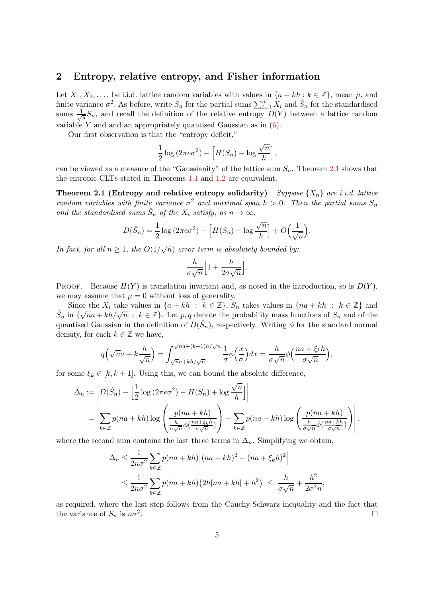#### <span id="page-4-0"></span>2 Entropy, relative entropy, and Fisher information

Let  $X_1, X_2, \ldots$ , be i.i.d. lattice random variables with values in  $\{a + kh : k \in \mathbb{Z}\}$ , mean  $\mu$ , and finite variance  $\sigma^2$ . As before, write  $S_n$  for the partial sums  $\sum_{i=1}^n X_i$  and  $\hat{S}_n$  for the standardised sums  $\frac{1}{\sqrt{2}}$  $\frac{1}{n}S_n$ , and recall the definition of the relative entropy  $D(Y)$  between a lattice random variable Y and and an appropriately quantised Gaussian as in  $(6)$ .

Our first observation is that the "entropy deficit,"

$$
\frac{1}{2}\log(2\pi e\sigma^2) - \left[H(S_n) - \log\frac{\sqrt{n}}{h}\right],
$$

<span id="page-4-1"></span>can be viewed as a measure of the "Gaussianity" of the lattice sum  $S_n$ . Theorem [2.1](#page-4-1) shows that the entropic CLTs stated in Theorems [1.1](#page-1-3) and [1.2](#page-2-0) are equivalent.

**Theorem 2.1 (Entropy and relative entropy solidarity)** *Suppose*  $\{X_n\}$  *are i.i.d. lattice random variables with finite variance*  $\sigma^2$  *and maximal span*  $h > 0$ . Then the partial sums  $S_n$ and the standardised sums  $\hat{S}_n$  of the  $X_i$  satisfy, as  $n \to \infty$ ,

$$
D(\hat{S}_n) = \frac{1}{2}\log(2\pi e\sigma^2) - \left[H(S_n) - \log \frac{\sqrt{n}}{h}\right] + O\left(\frac{1}{\sqrt{n}}\right).
$$

*In fact, for all*  $n \geq 1$ *, the*  $O(1/\sqrt{n})$  *error term is absolutely bounded by:* 

$$
\frac{h}{\sigma\sqrt{n}}\Big[1+\frac{h}{2\sigma\sqrt{n}}\Big].
$$

**PROOF.** Because  $H(Y)$  is translation invariant and, as noted in the introduction, so is  $D(Y)$ , we may assume that  $\mu = 0$  without loss of generality.

Since the  $X_i$  take values in  $\{a + kh : k \in \mathbb{Z}\}, S_n$  takes values in  $\{na + kh : k \in \mathbb{Z}\}\$  and  $\hat{S}_n$  in  $\{\sqrt{n}a + kh/\sqrt{n} : k \in \mathbb{Z}\}\.$  Let p, q denote the probability mass functions of  $S_n$  and of the quantised Gaussian in the definition of  $D(\hat{S}_n)$ , respectively. Writing  $\phi$  for the standard normal density, for each  $k \in \mathbb{Z}$  we have,

$$
q(\sqrt{n}a + k\frac{h}{\sqrt{n}}) = \int_{\sqrt{n}a + kh/\sqrt{n}}^{\sqrt{n}a + (k+1)h/\sqrt{n}} \frac{1}{\sigma} \phi\left(\frac{x}{\sigma}\right) dx = \frac{h}{\sigma\sqrt{n}} \phi\left(\frac{na + \xi_k h}{\sigma\sqrt{n}}\right),
$$

for some  $\xi_k \in [k, k+1]$ . Using this, we can bound the absolute difference,

$$
\Delta_n := \left| D(\hat{S}_n) - \left[ \frac{1}{2} \log (2 \pi e \sigma^2) - H(S_n) + \log \frac{\sqrt{n}}{h} \right] \right|
$$
  
= 
$$
\left| \sum_{k \in \mathbb{Z}} p(na + kh) \log \left( \frac{p(na + kh)}{\frac{h}{\sigma \sqrt{n}} \phi(\frac{na + \xi_k h}{\sigma \sqrt{n}})} \right) - \sum_{k \in \mathbb{Z}} p(na + kh) \log \left( \frac{p(na + kh)}{\frac{h}{\sigma \sqrt{n}} \phi(\frac{na + kh}{\sigma \sqrt{n}})} \right) \right|,
$$

where the second sum contains the last three terms in  $\Delta_n$ . Simplifying we obtain,

$$
\Delta_n \le \frac{1}{2n\sigma^2} \sum_{k \in \mathbb{Z}} p(na + kh) \Big| (na + kh)^2 - (na + \xi_k h)^2 \Big|
$$
  

$$
\le \frac{1}{2n\sigma^2} \sum_{k \in \mathbb{Z}} p(na + kh) \Big( 2h|na + kh| + h^2 \Big) \le \frac{h}{\sigma\sqrt{n}} + \frac{h^2}{2\sigma^2 n},
$$

as required, where the last step follows from the Cauchy-Schwarz inequality and the fact that the variance of  $S_n$  is  $n\sigma^2$ . .<br>1980 - Paul Barbara, política estadounidense de la propia de la propia de la propia de la propia de la propia<br>1980 - Paul Barbara, política estadounidense de la propia de la propia de la propia de la propia de la propia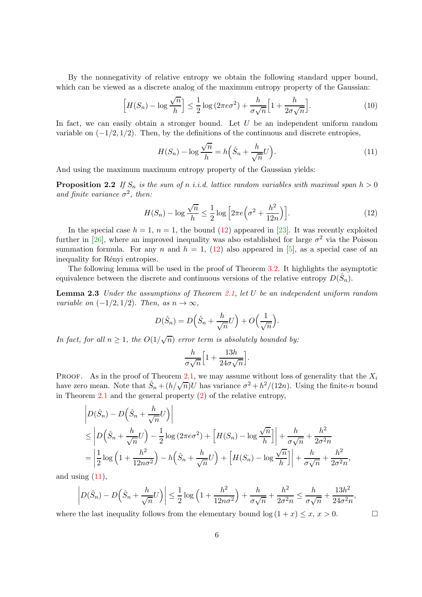By the nonnegativity of relative entropy we obtain the following standard upper bound, which can be viewed as a discrete analog of the maximum entropy property of the Gaussian:

<span id="page-5-3"></span>
$$
\left[H(S_n) - \log \frac{\sqrt{n}}{h}\right] \le \frac{1}{2} \log \left(2\pi e \sigma^2\right) + \frac{h}{\sigma \sqrt{n}} \left[1 + \frac{h}{2\sigma \sqrt{n}}\right].\tag{10}
$$

In fact, we can easily obtain a stronger bound. Let  $U$  be an independent uniform random variable on  $(-1/2, 1/2)$ . Then, by the definitions of the continuous and discrete entropies,

<span id="page-5-2"></span>
$$
H(S_n) - \log \frac{\sqrt{n}}{h} = h\left(\hat{S}_n + \frac{h}{\sqrt{n}}U\right).
$$
\n(11)

And using the maximum maximum entropy property of the Gaussian yields:

**Proposition 2.2** If  $S_n$  is the sum of n *i.i.d.* lattice random variables with maximal span  $h > 0$ and finite variance  $\sigma^2$ , then:

<span id="page-5-1"></span>
$$
H(S_n) - \log \frac{\sqrt{n}}{h} \le \frac{1}{2} \log \left[2\pi e \left(\sigma^2 + \frac{h^2}{12n}\right)\right].\tag{12}
$$

In the special case  $h = 1$ ,  $n = 1$ , the bound [\(12\)](#page-5-1) appeared in [\[23\]](#page-14-8). It was recently exploited further in [\[26\]](#page-14-9), where an improved inequality was also established for large  $\sigma^2$  via the Poisson summation formula. For any n and  $h = 1$ , [\(12\)](#page-5-1) also appeared in [\[5\]](#page-12-4), as a special case of an inequality for Rényi entropies.

<span id="page-5-0"></span>The following lemma will be used in the proof of Theorem [3.2.](#page-7-0) It highlights the asymptotic equivalence between the discrete and continuous versions of the relative entropy  $D(\hat{S}_n)$ .

Lemma 2.3 *Under the assumptions of Theorem [2.1,](#page-4-1) let* U *be an independent uniform random variable on*  $(-1/2, 1/2)$ *. Then, as*  $n \to \infty$ *,* 

$$
D(\hat{S}_n) = D(\hat{S}_n + \frac{h}{\sqrt{n}}U) + O(\frac{1}{\sqrt{n}}).
$$

*In fact, for all*  $n \geq 1$ *, the*  $O(1/\sqrt{n})$  *error term is absolutely bounded by:* 

$$
\frac{h}{\sigma\sqrt{n}}\Big[1+\frac{13h}{24\sigma\sqrt{n}}\Big].
$$

PROOF. As in the proof of Theorem [2.1,](#page-4-1) we may assume without loss of generality that the  $X_i$ have zero mean. Note that  $\hat{S}_n + (h/\sqrt{n})\hat{U}$  has variance  $\sigma^2 + h^2/(12n)$ . Using the finite-n bound in Theorem [2.1](#page-4-1) and the general property  $(2)$  of the relative entropy,

$$
\left| D(\hat{S}_n) - D(\hat{S}_n + \frac{h}{\sqrt{n}} U) \right|
$$
  
\n
$$
\leq \left| D(\hat{S}_n + \frac{h}{\sqrt{n}} U) - \frac{1}{2} \log (2\pi e \sigma^2) + \left[ H(S_n) - \log \frac{\sqrt{n}}{h} \right] \right| + \frac{h}{\sigma \sqrt{n}} + \frac{h^2}{2\sigma^2 n}
$$
  
\n
$$
= \left| \frac{1}{2} \log \left( 1 + \frac{h^2}{12n\sigma^2} \right) - h(\hat{S}_n + \frac{h}{\sqrt{n}} U) + \left[ H(S_n) - \log \frac{\sqrt{n}}{h} \right] \right| + \frac{h}{\sigma \sqrt{n}} + \frac{h^2}{2\sigma^2 n},
$$

and using  $(11)$ ,

$$
\left| D(\hat{S}_n) - D\left(\hat{S}_n + \frac{h}{\sqrt{n}}U\right) \right| \leq \frac{1}{2}\log\left(1 + \frac{h^2}{12n\sigma^2}\right) + \frac{h}{\sigma\sqrt{n}} + \frac{h^2}{2\sigma^2 n} \leq \frac{h}{\sigma\sqrt{n}} + \frac{13h^2}{24\sigma^2 n},
$$

where the last inequality follows from the elementary bound  $\log(1 + x) \leq x, x > 0$ .

$$
\Box
$$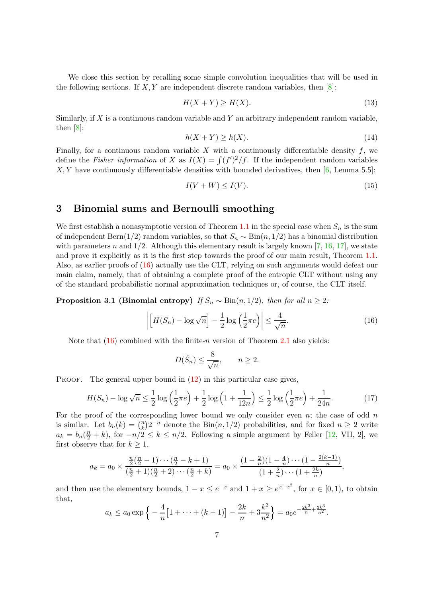We close this section by recalling some simple convolution inequalities that will be used in the following sections. If  $X, Y$  are independent discrete random variables, then  $[8]$ :

<span id="page-6-6"></span>
$$
H(X+Y) \ge H(X). \tag{13}
$$

Similarly, if  $X$  is a continuous random variable and  $Y$  an arbitrary independent random variable, then [\[8\]](#page-13-5):

<span id="page-6-4"></span>
$$
h(X+Y) \ge h(X). \tag{14}
$$

Finally, for a continuous random variable X with a continuously differentiable density  $f$ , we define the *Fisher information* of X as  $I(X) = \int (f')^2/f$ . If the independent random variables  $X, Y$  have continuously differentiable densities with bounded derivatives, then [\[6,](#page-13-1) Lemma 5.5]:

<span id="page-6-5"></span>
$$
I(V + W) \le I(V). \tag{15}
$$

# <span id="page-6-0"></span>3 Binomial sums and Bernoulli smoothing

We first establish a nonasymptotic version of Theorem [1.1](#page-1-3) in the special case when  $S_n$  is the sum of independent Bern(1/2) random variables, so that  $S_n \sim Bin(n, 1/2)$  has a binomial distribution with parameters n and  $1/2$ . Although this elementary result is largely known [\[7,](#page-13-13) [16,](#page-13-14) [17\]](#page-13-15), we state and prove it explicitly as it is the first step towards the proof of our main result, Theorem [1.1.](#page-1-3) Also, as earlier proofs of [\(16\)](#page-6-1) actually use the CLT, relying on such arguments would defeat our main claim, namely, that of obtaining a complete proof of the entropic CLT without using any of the standard probabilistic normal approximation techniques or, of course, the CLT itself.

<span id="page-6-3"></span>**Proposition 3.1 (Binomial entropy)** *If*  $S_n \sim Bin(n, 1/2)$ *, then for all*  $n \geq 2$ *:* 

<span id="page-6-1"></span>
$$
\left| \left[ H(S_n) - \log \sqrt{n} \right] - \frac{1}{2} \log \left( \frac{1}{2} \pi e \right) \right| \le \frac{4}{\sqrt{n}}.
$$
\n(16)

.

Note that  $(16)$  combined with the finite-*n* version of Theorem [2.1](#page-4-1) also yields:

$$
D(\hat{S}_n) \le \frac{8}{\sqrt{n}}, \qquad n \ge 2.
$$

**PROOF.** The general upper bound in  $(12)$  in this particular case gives,

<span id="page-6-2"></span>
$$
H(S_n) - \log \sqrt{n} \le \frac{1}{2} \log \left(\frac{1}{2}\pi e\right) + \frac{1}{2} \log \left(1 + \frac{1}{12n}\right) \le \frac{1}{2} \log \left(\frac{1}{2}\pi e\right) + \frac{1}{24n}.\tag{17}
$$

For the proof of the corresponding lower bound we only consider even n; the case of odd n is similar. Let  $b_n(k) = \binom{n}{k}$  $\lim_{k} (n) 2^{-n}$  denote the Bin $(n, 1/2)$  probabilities, and for fixed  $n \geq 2$  write  $a_k = b_n(\frac{n}{2} + k)$ , for  $-n/2 \le k \le n/2$ . Following a simple argument by Feller [\[12,](#page-13-16) VII, 2], we first observe that for  $k \geq 1$ ,

$$
a_k = a_0 \times \frac{\frac{n}{2}(\frac{n}{2}-1)\cdots(\frac{n}{2}-k+1)}{(\frac{n}{2}+1)(\frac{n}{2}+2)\cdots(\frac{n}{2}+k)} = a_0 \times \frac{(1-\frac{2}{n})(1-\frac{4}{n})\cdots(1-\frac{2(k-1)}{n})}{(1+\frac{2}{n})\cdots(1+\frac{2k}{n})},
$$

and then use the elementary bounds,  $1 - x \le e^{-x}$  and  $1 + x \ge e^{x - x^2}$ , for  $x \in [0, 1)$ , to obtain that,

$$
a_k \le a_0 \exp \left\{ -\frac{4}{n} \left[ 1 + \dots + (k-1) \right] - \frac{2k}{n} + 3 \frac{k^3}{n^2} \right\} = a_0 e^{-\frac{2k^2}{n} + \frac{3k^3}{n^2}}
$$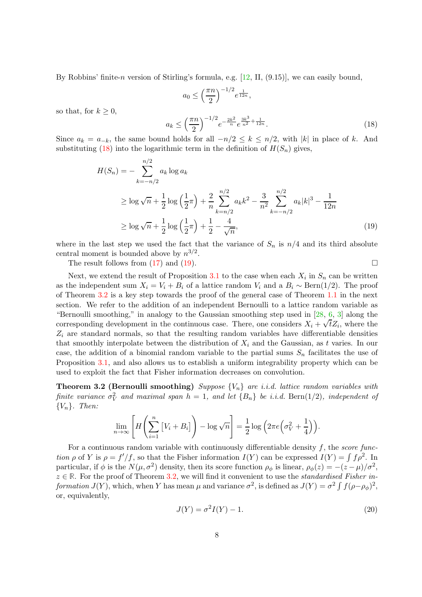By Robbins' finite-n version of Stirling's formula, e.g.  $[12, II, (9.15)]$ , we can easily bound,

<span id="page-7-2"></span><span id="page-7-1"></span>
$$
a_0 \le \left(\frac{\pi n}{2}\right)^{-1/2} e^{\frac{1}{12n}},
$$
  

$$
a_k \le \left(\frac{\pi n}{2}\right)^{-1/2} e^{-\frac{2k^2}{n}} e^{\frac{3k^3}{n^2} + \frac{1}{12n}}.
$$
 (18)

so that, for  $k \geq 0$ ,

Since 
$$
a_k = a_{-k}
$$
, the same bound holds for all  $-n/2 \le k \le n/2$ , with  $|k|$  in place of k. And substituting (18) into the logarithmic term in the definition of  $H(S_n)$  gives,

$$
H(S_n) = -\sum_{k=-n/2}^{n/2} a_k \log a_k
$$
  
\n
$$
\geq \log \sqrt{n} + \frac{1}{2} \log \left(\frac{1}{2}\pi\right) + \frac{2}{n} \sum_{k=n/2}^{n/2} a_k k^2 - \frac{3}{n^2} \sum_{k=-n/2}^{n/2} a_k |k|^3 - \frac{1}{12n}
$$
  
\n
$$
\geq \log \sqrt{n} + \frac{1}{2} \log \left(\frac{1}{2}\pi\right) + \frac{1}{2} - \frac{4}{\sqrt{n}},
$$
\n(19)

where in the last step we used the fact that the variance of  $S_n$  is  $n/4$  and its third absolute central moment is bounded above by  $n^{3/2}$ .

The result follows from  $(17)$  and  $(19)$ .

Next, we extend the result of Proposition [3.1](#page-6-3) to the case when each  $X_i$  in  $S_n$  can be written as the independent sum  $X_i = V_i + B_i$  of a lattice random  $V_i$  and a  $B_i \sim \text{Bern}(1/2)$ . The proof of Theorem [3.2](#page-7-0) is a key step towards the proof of the general case of Theorem [1.1](#page-1-3) in the next section. We refer to the addition of an independent Bernoulli to a lattice random variable as "Bernoulli smoothing," in analogy to the Gaussian smoothing step used in [\[28,](#page-14-2) [6,](#page-13-1) [3\]](#page-12-0) along the corresponding development in the continuous case. There, one considers  $X_i + \sqrt{t}Z_i$ , where the  $Z_i$  are standard normals, so that the resulting random variables have differentiable densities that smoothly interpolate between the distribution of  $X_i$  and the Gaussian, as t varies. In our case, the addition of a binomial random variable to the partial sums  $S_n$  facilitates the use of Proposition [3.1,](#page-6-3) and also allows us to establish a uniform integrability property which can be used to exploit the fact that Fisher information decreases on convolution.

<span id="page-7-0"></span>Theorem 3.2 (Bernoulli smoothing) *Suppose* {Vn} *are i.i.d. lattice random variables with finite variance*  $\sigma_V^2$  and maximal span  $h = 1$ , and let  $\{B_n\}$  be i.i.d. Bern $(1/2)$ , independent of {Vn}*. Then:*

$$
\lim_{n \to \infty} \left[ H\left(\sum_{i=1}^n \left[ V_i + B_i \right] \right) - \log \sqrt{n} \right] = \frac{1}{2} \log \left( 2 \pi e \left( \sigma_V^2 + \frac{1}{4} \right) \right).
$$

For a continuous random variable with continuously differentiable density f, the *score function*  $\rho$  of Y is  $\rho = f'/f$ , so that the Fisher information  $I(Y)$  can be expressed  $I(Y) = \int f \rho^2$ . In particular, if  $\phi$  is the  $N(\mu, \sigma^2)$  density, then its score function  $\rho_{\phi}$  is linear,  $\rho_{\phi}(z) = -(z - \mu)/\sigma^2$ , <sup>z</sup> <sup>∈</sup> **<sup>R</sup>**. For the proof of Theorem [3.2,](#page-7-0) we will find it convenient to use the *standardised Fisher information*  $J(Y)$ , which, when Y has mean  $\mu$  and variance  $\sigma^2$ , is defined as  $J(Y) = \sigma^2 \int f(\rho - \rho_{\phi})^2$ , or, equivalently,

<span id="page-7-3"></span>
$$
J(Y) = \sigma^2 I(Y) - 1.
$$
\n<sup>(20)</sup>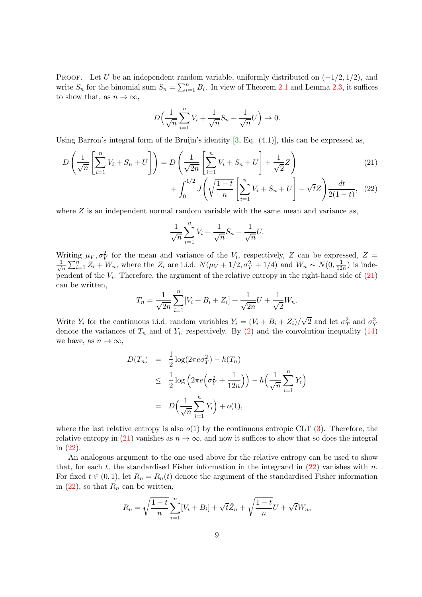PROOF. Let U be an independent random variable, uniformly distributed on  $(-1/2, 1/2)$ , and write  $S_n$  for the binomial sum  $S_n = \sum_{i=1}^n B_i$ . In view of Theorem [2.1](#page-4-1) and Lemma [2.3,](#page-5-0) it suffices to show that, as  $n \to \infty$ ,

$$
D\Big(\frac{1}{\sqrt{n}}\sum_{i=1}^n V_i + \frac{1}{\sqrt{n}}S_n + \frac{1}{\sqrt{n}}U\Big) \to 0.
$$

Using Barron's integral form of de Bruijn's identity  $[3, Eq. (4.1)],$  this can be expressed as,

$$
D\left(\frac{1}{\sqrt{n}}\left[\sum_{i=1}^{n}V_{i}+S_{n}+U\right]\right)=D\left(\frac{1}{\sqrt{2n}}\left[\sum_{i=1}^{n}V_{i}+S_{n}+U\right]+\frac{1}{\sqrt{2}}Z\right) + \int_{0}^{1/2}J\left(\sqrt{\frac{1-t}{n}}\left[\sum_{i=1}^{n}V_{i}+S_{n}+U\right]+\sqrt{t}Z\right)\frac{dt}{2(1-t)},
$$
(22)

where  $Z$  is an independent normal random variable with the same mean and variance as,

<span id="page-8-1"></span><span id="page-8-0"></span>
$$
\frac{1}{\sqrt{n}}\sum_{i=1}^n V_i + \frac{1}{\sqrt{n}}S_n + \frac{1}{\sqrt{n}}U.
$$

Writing  $\mu_V, \sigma_V^2$  for the mean and variance of the  $V_i$ , respectively, Z can be expressed, Z = √ 1  $\frac{1}{n}\sum_{i=1}^n Z_i + W_n$ , where the  $Z_i$  are i.i.d.  $N(\mu_V + 1/2, \sigma_V^2 + 1/4)$  and  $W_n \sim N(0, \frac{1}{12})$  $\frac{1}{12n}$ ) is independent of the  $V_i$ . Therefore, the argument of the relative entropy in the right-hand side of  $(21)$ can be written,

$$
T_n = \frac{1}{\sqrt{2n}} \sum_{i=1}^n [V_i + B_i + Z_i] + \frac{1}{\sqrt{2n}} U + \frac{1}{\sqrt{2}} W_n.
$$

Write  $Y_i$  for the continuous i.i.d. random variables  $Y_i = (V_i + B_i + Z_i)/\sqrt{2}$  and let  $\sigma_T^2$  and  $\sigma_Y^2$ denote the variances of  $T_n$  and of  $Y_i$ , respectively. By [\(2\)](#page-1-4) and the convolution inequality [\(14\)](#page-6-4) we have, as  $n \to \infty$ ,

$$
D(T_n) = \frac{1}{2}\log(2\pi e \sigma_T^2) - h(T_n)
$$
  
\n
$$
\leq \frac{1}{2}\log\left(2\pi e\left(\sigma_Y^2 + \frac{1}{12n}\right)\right) - h\left(\frac{1}{\sqrt{n}}\sum_{i=1}^n Y_i\right)
$$
  
\n
$$
= D\left(\frac{1}{\sqrt{n}}\sum_{i=1}^n Y_i\right) + o(1),
$$

where the last relative entropy is also  $o(1)$  by the continuous entropic CLT [\(3\)](#page-1-0). Therefore, the relative entropy in [\(21\)](#page-8-0) vanishes as  $n \to \infty$ , and now it suffices to show that so does the integral in [\(22\)](#page-8-1).

An analogous argument to the one used above for the relative entropy can be used to show that, for each t, the standardised Fisher information in the integrand in  $(22)$  vanishes with n. For fixed  $t \in (0,1)$ , let  $R_n = R_n(t)$  denote the argument of the standardised Fisher information in  $(22)$ , so that  $R_n$  can be written,

$$
R_n = \sqrt{\frac{1-t}{n}} \sum_{i=1}^n [V_i + B_i] + \sqrt{t} \hat{Z}_n + \sqrt{\frac{1-t}{n}} U + \sqrt{t} W_n,
$$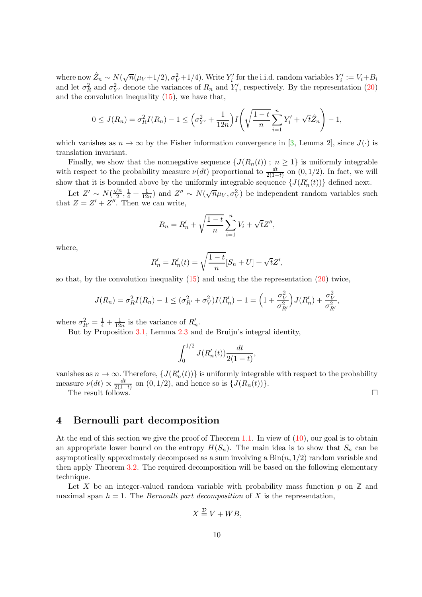where now  $\hat{Z}_n \sim N(\sqrt{n}(\mu_V+1/2), \sigma_V^2+1/4)$ . Write  $Y'_i$  for the i.i.d. random variables  $Y'_i := V_i + B_i$ and let  $\sigma_R^2$  and  $\sigma_{Y'}^2$  denote the variances of  $R_n$  and  $Y'_i$ , respectively. By the representation [\(20\)](#page-7-3) and the convolution inequality  $(15)$ , we have that,

$$
0 \le J(R_n) = \sigma_R^2 I(R_n) - 1 \le \left(\sigma_{Y'}^2 + \frac{1}{12n}\right) I\left(\sqrt{\frac{1-t}{n}} \sum_{i=1}^n Y_i' + \sqrt{t} \hat{Z}_n\right) - 1,
$$

which vanishes as  $n \to \infty$  by the Fisher information convergence in [\[3,](#page-12-0) Lemma 2], since  $J(\cdot)$  is translation invariant.

Finally, we show that the nonnegative sequence  $\{J(R_n(t)) ; n \geq 1\}$  is uniformly integrable with respect to the probability measure  $\nu(dt)$  proportional to  $\frac{dt}{2(1-t)}$  on  $(0, 1/2)$ . In fact, we will show that it is bounded above by the uniformly integrable sequence  $\{J(R'_n(t))\}$  defined next.

Let  $Z' \sim N(\frac{\sqrt{n}}{2})$  $\frac{\sqrt{n}}{2}, \frac{1}{4} + \frac{1}{12n}$  and  $Z'' \sim N(\sqrt{n}\mu_V, \sigma_V^2)$  be independent random variables such that  $Z = Z' + Z''$ . Then we can write,

$$
R_n = R'_n + \sqrt{\frac{1-t}{n}} \sum_{i=1}^n V_i + \sqrt{t} Z'',
$$

where,

$$
R'_{n} = R'_{n}(t) = \sqrt{\frac{1-t}{n}} [S_{n} + U] + \sqrt{t}Z',
$$

so that, by the convolution inequality  $(15)$  and using the the representation  $(20)$  twice,

$$
J(R_n) = \sigma_R^2 I(R_n) - 1 \leq (\sigma_{R'}^2 + \sigma_V^2) I(R'_n) - 1 = \left(1 + \frac{\sigma_V^2}{\sigma_{R'}^2}\right) J(R'_n) + \frac{\sigma_V^2}{\sigma_{R'}^2},
$$

where  $\sigma_{R'}^2 = \frac{1}{4} + \frac{1}{12}$  $\frac{1}{12n}$  is the variance of  $R'_n$ .

But by Proposition [3.1,](#page-6-3) Lemma [2.3](#page-5-0) and de Bruijn's integral identity,

$$
\int_0^{1/2} J(R'_n(t)) \frac{dt}{2(1-t)},
$$

vanishes as  $n \to \infty$ . Therefore,  $\{J(R'_n(t))\}$  is uniformly integrable with respect to the probability measure  $\nu(dt) \propto \frac{dt}{2(1-t)}$  $\frac{at}{2(1-t)}$  on  $(0, 1/2)$ , and hence so is  $\{J(R_n(t))\}.$ The result follows.

# <span id="page-9-0"></span>4 Bernoulli part decomposition

At the end of this section we give the proof of Theorem [1.1.](#page-1-3) In view of  $(10)$ , our goal is to obtain an appropriate lower bound on the entropy  $H(S_n)$ . The main idea is to show that  $S_n$  can be asymptotically approximately decomposed as a sum involving a  $\text{Bin}(n, 1/2)$  random variable and then apply Theorem [3.2.](#page-7-0) The required decomposition will be based on the following elementary technique.

Let X be an integer-valued random variable with probability mass function  $p$  on  $\mathbb{Z}$  and maximal span  $h = 1$ . The *Bernoulli part decomposition* of X is the representation,

$$
X \stackrel{\mathcal{D}}{=} V + WB,
$$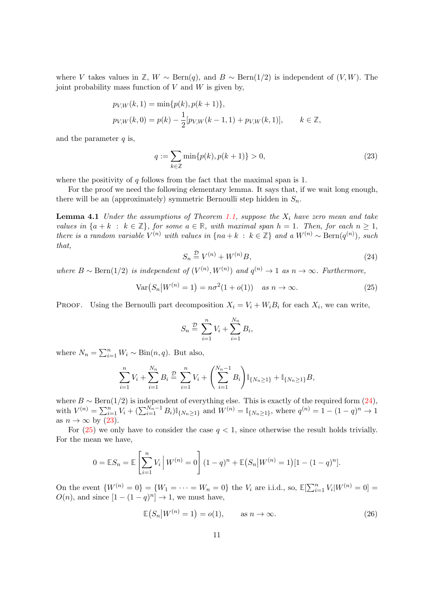where V takes values in  $\mathbb{Z}, W \sim \text{Bern}(q)$ , and  $B \sim \text{Bern}(1/2)$  is independent of  $(V, W)$ . The joint probability mass function of  $V$  and  $W$  is given by,

$$
p_{V,W}(k,1) = \min\{p(k), p(k+1)\},
$$
  
\n
$$
p_{V,W}(k,0) = p(k) - \frac{1}{2}[p_{V,W}(k-1,1) + p_{V,W}(k,1)], \qquad k \in \mathbb{Z},
$$

and the parameter  $q$  is,

<span id="page-10-1"></span>
$$
q := \sum_{k \in \mathbb{Z}} \min\{p(k), p(k+1)\} > 0,
$$
\n(23)

where the positivity of  $q$  follows from the fact that the maximal span is 1.

<span id="page-10-4"></span>For the proof we need the following elementary lemma. It says that, if we wait long enough, there will be an (approximately) symmetric Bernoulli step hidden in  $S_n$ .

Lemma 4.1 *Under the assumptions of Theorem [1.1,](#page-1-3) suppose the* X<sup>i</sup> *have zero mean and take values in*  $\{a + k : k \in \mathbb{Z}\}\$ , for some  $a \in \mathbb{R}$ , with maximal span  $h = 1$ . Then, for each  $n \geq 1$ , *there is a random variable*  $V^{(n)}$  *with values in* {na + k : k ∈ **Z**} *and a*  $W^{(n)} \sim \text{Bern}(q^{(n)})$ *, such that,*

<span id="page-10-0"></span>
$$
S_n \stackrel{\mathcal{D}}{=} V^{(n)} + W^{(n)}B,\tag{24}
$$

*where*  $B \sim \text{Bern}(1/2)$  *is independent of*  $(V^{(n)}, W^{(n)})$  *and*  $q^{(n)} \to 1$  *as*  $n \to \infty$ *. Furthermore,* 

<span id="page-10-2"></span>
$$
\text{Var}(S_n|W^{(n)}=1) = n\sigma^2(1+o(1)) \quad \text{as } n \to \infty. \tag{25}
$$

PROOF. Using the Bernoulli part decomposition  $X_i = V_i + W_i B_i$  for each  $X_i$ , we can write,

$$
S_n \stackrel{D}{=} \sum_{i=1}^n V_i + \sum_{i=1}^{N_n} B_i,
$$

where  $N_n = \sum_{i=1}^n W_i \sim \text{Bin}(n, q)$ . But also,

$$
\sum_{i=1}^{n} V_i + \sum_{i=1}^{N_n} B_i \stackrel{\mathcal{D}}{=} \sum_{i=1}^{n} V_i + \left( \sum_{i=1}^{N_n-1} B_i \right) \mathbb{I}_{\{N_n \ge 1\}} + \mathbb{I}_{\{N_n \ge 1\}} B,
$$

where  $B \sim \text{Bern}(1/2)$  is independent of everything else. This is exactly of the required form  $(24)$ , with  $V^{(n)} = \sum_{i=1}^{n} V_i + (\sum_{i=1}^{N_n-1} B_i) \mathbb{I}_{\{N_n \geq 1\}}$  and  $W^{(n)} = \mathbb{I}_{\{N_n \geq 1\}}$ , where  $q^{(n)} = 1 - (1 - q)^n \to 1$ as  $n \to \infty$  by [\(23\)](#page-10-1).

For  $(25)$  we only have to consider the case  $q < 1$ , since otherwise the result holds trivially. For the mean we have,

$$
0 = \mathbb{E}S_n = \mathbb{E}\left[\sum_{i=1}^n V_i \middle| W^{(n)} = 0\right] (1-q)^n + \mathbb{E}(S_n|W^{(n)} = 1)[1 - (1-q)^n].
$$

On the event  ${W^{(n)} = 0} = {W_1 = \cdots = W_n = 0}$  the  $V_i$  are i.i.d., so,  $\mathbb{E}[\sum_{i=1}^n V_i | W^{(n)} = 0] =$  $O(n)$ , and since  $[1 - (1 - q)^n] \rightarrow 1$ , we must have,

<span id="page-10-3"></span>
$$
\mathbb{E}(S_n|W^{(n)}=1)=o(1), \qquad \text{as } n \to \infty. \tag{26}
$$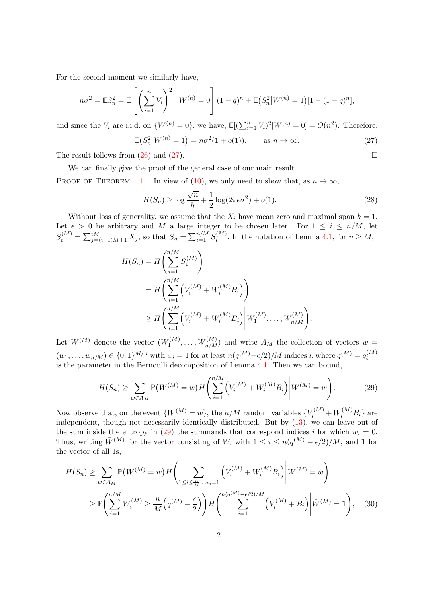For the second moment we similarly have,

$$
n\sigma^2 = \mathbb{E}S_n^2 = \mathbb{E}\left[\left(\sum_{i=1}^n V_i\right)^2 \middle| W^{(n)} = 0\right] (1-q)^n + \mathbb{E}\left(S_n^2 \middle| W^{(n)} = 1\right)[1 - (1-q)^n],
$$

and since the  $V_i$  are i.i.d. on  $\{W^{(n)}=0\}$ , we have,  $\mathbb{E}[(\sum_{i=1}^n V_i)^2 | W^{(n)}=0] = O(n^2)$ . Therefore,

<span id="page-11-0"></span>
$$
\mathbb{E}(S_n^2|W^{(n)}=1) = n\sigma^2(1+o(1)), \quad \text{as } n \to \infty.
$$
 (27)

The result follows from  $(26)$  and  $(27)$ .

We can finally give the proof of the general case of our main result.

PROOF OF THEOREM [1.1.](#page-1-3) In view of [\(10\)](#page-5-3), we only need to show that, as  $n \to \infty$ ,

<span id="page-11-3"></span>
$$
H(S_n) \ge \log \frac{\sqrt{n}}{h} + \frac{1}{2} \log(2\pi e \sigma^2) + o(1).
$$
 (28)

Without loss of generality, we assume that the  $X_i$  have mean zero and maximal span  $h = 1$ . Let  $\epsilon > 0$  be arbitrary and M a large integer to be chosen later. For  $1 \leq i \leq n/M$ , let  $S_i^{(M)} = \sum_{j=(i-1)M+1}^{iM} X_j$ , so that  $S_n = \sum_{i=1}^{n/M} S_i^{(M)}$  $i^{(M)}$ . In the notation of Lemma [4.1,](#page-10-4) for  $n \geq M$ ,

$$
H(S_n) = H\left(\sum_{i=1}^{n/M} S_i^{(M)}\right)
$$
  
=  $H\left(\sum_{i=1}^{n/M} \left(V_i^{(M)} + W_i^{(M)}B_i\right)\right)$   
 $\geq H\left(\sum_{i=1}^{n/M} \left(V_i^{(M)} + W_i^{(M)}B_i\right) \middle| W_1^{(M)}, \dots, W_{n/M}^{(M)}\right).$ 

Let  $W^{(M)}$  denote the vector  $(W_1^{(M)})$  $W_1^{(M)}, \ldots, W_{n/M}^{(M)}$  and write  $A_M$  the collection of vectors  $w =$  $(w_1, \ldots, w_{n/M}) \in \{0, 1\}^{M/n}$  with  $w_i = 1$  for at least  $n(q^{(M)} - \epsilon/2)/M$  indices i, where  $q^{(M)} = q_i^{(M)}$ i is the parameter in the Bernoulli decomposition of Lemma [4.1.](#page-10-4) Then we can bound,

<span id="page-11-2"></span>
$$
H(S_n) \ge \sum_{w \in A_M} \mathbb{P}(W^{(M)} = w) H\left(\sum_{i=1}^{n/M} \left(V_i^{(M)} + W_i^{(M)}B_i\right) \middle| W^{(M)} = w\right). \tag{29}
$$

Now observe that, on the event  $\{W^{(M)} = w\}$ , the  $n/M$  random variables  $\{V_i^{(M)} + W_i^{(M)}B_i\}$  are independent, though not necessarily identically distributed. But by  $(13)$ , we can leave out of the sum inside the entropy in  $(29)$  the summands that correspond indices i for which  $w_i = 0$ . Thus, writing  $\bar{W}^{(M)}$  for the vector consisting of  $W_i$  with  $1 \leq i \leq n(q^{(M)} - \epsilon/2)/M$ , and 1 for the vector of all 1s,

$$
H(S_n) \ge \sum_{w \in A_M} \mathbb{P}(W^{(M)} = w) H\left(\sum_{1 \le i \le \frac{n}{M} : w_i = 1} \left(V_i^{(M)} + W_i^{(M)}B_i\right) \middle| W^{(M)} = w\right)
$$
  
 
$$
\ge \mathbb{P}\left(\sum_{i=1}^{n/M} W_i^{(M)} \ge \frac{n}{M} \left(q^{(M)} - \frac{\epsilon}{2}\right)\right) H\left(\sum_{i=1}^{n(q^{(M)} - \epsilon/2)/M} \left(V_i^{(M)} + B_i\right) \middle| \overline{W}^{(M)} = 1\right), \quad (30)
$$

<span id="page-11-1"></span>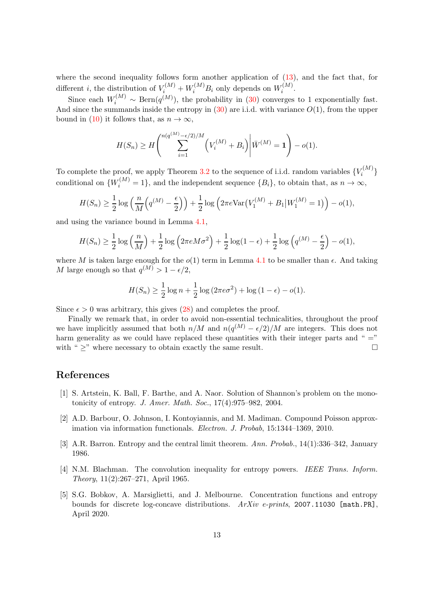where the second inequality follows form another application of  $(13)$ , and the fact that, for different *i*, the distribution of  $V_i^{(M)} + W_i^{(M)}B_i$  only depends on  $W_i^{(M)}$  $\int_i^{(M)}$ 

Since each  $W_i^{(M)} \sim \text{Bern}(q^{(M)})$ , the probability in [\(30\)](#page-11-2) converges to 1 exponentially fast. And since the summands inside the entropy in  $(30)$  are i.i.d. with variance  $O(1)$ , from the upper bound in [\(10\)](#page-5-3) it follows that, as  $n \to \infty$ ,

$$
H(S_n) \ge H\left(\sum_{i=1}^{n(q^{(M)}-\epsilon/2)/M} \left(V_i^{(M)} + B_i\right) \middle| \bar{W}^{(M)} = \mathbf{1}\right) - o(1).
$$

To complete the proof, we apply Theorem [3.2](#page-7-0) to the sequence of i.i.d. random variables  ${V_i^{(M)}}$  $\begin{matrix} i & j \end{matrix}$ conditional on  $\{W_i^{(M)}=1\}$ , and the independent sequence  $\{B_i\}$ , to obtain that, as  $n \to \infty$ ,

$$
H(S_n) \ge \frac{1}{2} \log \left( \frac{n}{M} \left( q^{(M)} - \frac{\epsilon}{2} \right) \right) + \frac{1}{2} \log \left( 2\pi e \text{Var} \left( V_1^{(M)} + B_1 \middle| W_1^{(M)} = 1 \right) \right) - o(1),
$$

and using the variance bound in Lemma [4.1,](#page-10-4)

$$
H(S_n) \ge \frac{1}{2}\log\left(\frac{n}{M}\right) + \frac{1}{2}\log\left(2\pi eM\sigma^2\right) + \frac{1}{2}\log(1-\epsilon) + \frac{1}{2}\log\left(q^{(M)} - \frac{\epsilon}{2}\right) - o(1),
$$

where M is taken large enough for the  $o(1)$  term in Lemma [4.1](#page-10-4) to be smaller than  $\epsilon$ . And taking M large enough so that  $q^{(M)} > 1 - \epsilon/2$ ,

$$
H(S_n) \ge \frac{1}{2} \log n + \frac{1}{2} \log (2\pi e \sigma^2) + \log (1 - \epsilon) - o(1).
$$

Since  $\epsilon > 0$  was arbitrary, this gives [\(28\)](#page-11-3) and completes the proof.

Finally we remark that, in order to avoid non-essential technicalities, throughout the proof we have implicitly assumed that both  $n/M$  and  $n(q^{(M)} - \epsilon/2)/M$  are integers. This does not harm generality as we could have replaced these quantities with their integer parts and " $=$ " with " $>$ " where necessary to obtain exactly the same result.

# <span id="page-12-2"></span>References

- [1] S. Artstein, K. Ball, F. Barthe, and A. Naor. Solution of Shannon's problem on the monotonicity of entropy. *J. Amer. Math. Soc.*, 17(4):975–982, 2004.
- <span id="page-12-3"></span>[2] A.D. Barbour, O. Johnson, I. Kontoyiannis, and M. Madiman. Compound Poisson approximation via information functionals. *Electron. J. Probab*, 15:1344–1369, 2010.
- <span id="page-12-1"></span><span id="page-12-0"></span>[3] A.R. Barron. Entropy and the central limit theorem. *Ann. Probab.*, 14(1):336–342, January 1986.
- [4] N.M. Blachman. The convolution inequality for entropy powers. *IEEE Trans. Inform. Theory*, 11(2):267–271, April 1965.
- <span id="page-12-4"></span>[5] S.G. Bobkov, A. Marsiglietti, and J. Melbourne. Concentration functions and entropy bounds for discrete log-concave distributions. *ArXiv e-prints*, 2007.11030 [math.PR], April 2020.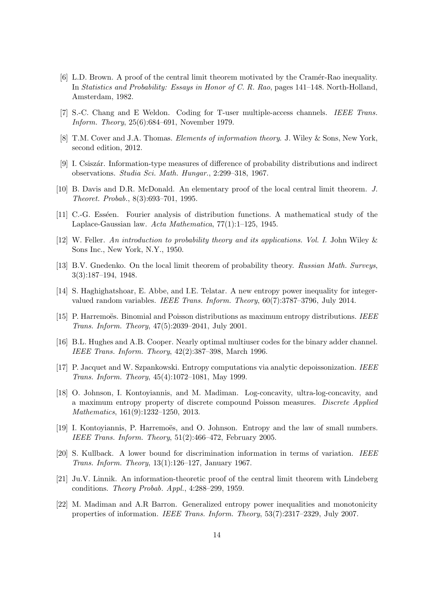- <span id="page-13-1"></span>[6] L.D. Brown. A proof of the central limit theorem motivated by the Cramér-Rao inequality. In *Statistics and Probability: Essays in Honor of C. R. Rao*, pages 141–148. North-Holland, Amsterdam, 1982.
- <span id="page-13-13"></span><span id="page-13-5"></span>[7] S.-C. Chang and E Weldon. Coding for T-user multiple-access channels. *IEEE Trans. Inform. Theory*, 25(6):684–691, November 1979.
- <span id="page-13-3"></span>[8] T.M. Cover and J.A. Thomas. *Elements of information theory*. J. Wiley & Sons, New York, second edition, 2012.
- <span id="page-13-6"></span>[9] I. Csiszár. Information-type measures of difference of probability distributions and indirect observations. *Studia Sci. Math. Hungar.*, 2:299–318, 1967.
- <span id="page-13-7"></span>[10] B. Davis and D.R. McDonald. An elementary proof of the local central limit theorem. *J. Theoret. Probab.*, 8(3):693–701, 1995.
- <span id="page-13-16"></span>[11] C.-G. Esséen. Fourier analysis of distribution functions. A mathematical study of the Laplace-Gaussian law. *Acta Mathematica*, 77(1):1–125, 1945.
- <span id="page-13-8"></span>[12] W. Feller. *An introduction to probability theory and its applications. Vol. I*. John Wiley & Sons Inc., New York, N.Y., 1950.
- <span id="page-13-12"></span>[13] B.V. Gnedenko. On the local limit theorem of probability theory. *Russian Math. Surveys*, 3(3):187–194, 1948.
- [14] S. Haghighatshoar, E. Abbe, and I.E. Telatar. A new entropy power inequality for integervalued random variables. *IEEE Trans. Inform. Theory*, 60(7):3787–3796, July 2014.
- <span id="page-13-9"></span>[15] P. Harremoës. Binomial and Poisson distributions as maximum entropy distributions. *IEEE Trans. Inform. Theory*, 47(5):2039–2041, July 2001.
- <span id="page-13-15"></span><span id="page-13-14"></span>[16] B.L. Hughes and A.B. Cooper. Nearly optimal multiuser codes for the binary adder channel. *IEEE Trans. Inform. Theory*, 42(2):387–398, March 1996.
- <span id="page-13-11"></span>[17] P. Jacquet and W. Szpankowski. Entropy computations via analytic depoissonization. *IEEE Trans. Inform. Theory*, 45(4):1072–1081, May 1999.
- [18] O. Johnson, I. Kontoyiannis, and M. Madiman. Log-concavity, ultra-log-concavity, and a maximum entropy property of discrete compound Poisson measures. *Discrete Applied Mathematics*, 161(9):1232–1250, 2013.
- <span id="page-13-10"></span>[19] I. Kontoyiannis, P. Harremoës, and O. Johnson. Entropy and the law of small numbers. *IEEE Trans. Inform. Theory*, 51(2):466–472, February 2005.
- <span id="page-13-4"></span>[20] S. Kullback. A lower bound for discrimination information in terms of variation. *IEEE Trans. Inform. Theory*, 13(1):126–127, January 1967.
- <span id="page-13-0"></span>[21] Ju.V. Linnik. An information-theoretic proof of the central limit theorem with Lindeberg conditions. *Theory Probab. Appl.*, 4:288–299, 1959.
- <span id="page-13-2"></span>[22] M. Madiman and A.R Barron. Generalized entropy power inequalities and monotonicity properties of information. *IEEE Trans. Inform. Theory*, 53(7):2317–2329, July 2007.